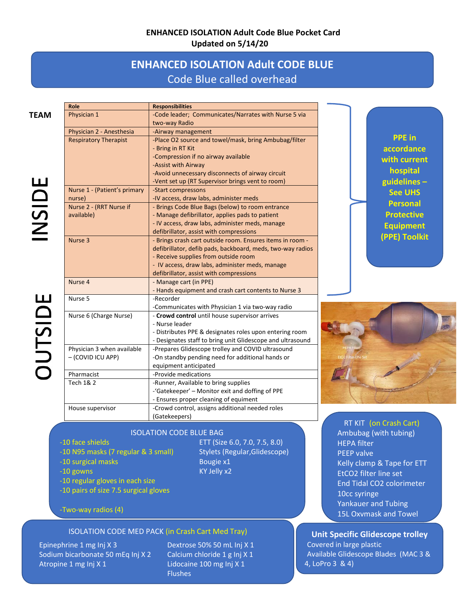# **ENHANCED ISOLATION Adult Code Blue Pocket Card Updated on 5/14/20**

# **ENHANCED ISOLATION Adult CODE BLUE**  Code Blue called overhead

**LU**  0 **V)**  z <u>ے</u>

| Role                         | <b>Responsibilities</b>                                    |
|------------------------------|------------------------------------------------------------|
| Physician 1                  | -Code leader; Communicates/Narrates with Nurse 5 via       |
|                              | two-way Radio                                              |
| Physician 2 - Anesthesia     | -Airway management                                         |
| <b>Respiratory Therapist</b> | -Place O2 source and towel/mask, bring Ambubag/filter      |
|                              | - Bring in RT Kit                                          |
|                              | -Compression if no airway available                        |
|                              | -Assist with Airway                                        |
|                              | -Avoid unnecessary disconnects of airway circuit           |
|                              | -Vent set up (RT Supervisor brings vent to room)           |
| Nurse 1 - (Patient's primary | -Start compressons                                         |
| nurse)                       | -IV access, draw labs, administer meds                     |
| Nurse 2 - (RRT Nurse if      | - Brings Code Blue Bags (below) to room entrance           |
| available)                   | - Manage defibrillator, applies pads to patient            |
|                              | - IV access, draw labs, administer meds, manage            |
|                              | defibrillator, assist with compressions                    |
| Nurse 3                      | - Brings crash cart outside room. Ensures items in room -  |
|                              | defibrillator, defib pads, backboard, meds, two-way radios |
|                              | - Receive supplies from outside room                       |
|                              | - IV access, draw labs, administer meds, manage            |
|                              | defibrillator, assist with compressions                    |
| Nurse 4                      | - Manage cart (in PPE)                                     |
|                              | - Hands equipment and crash cart contents to Nurse 3       |
| Nurse 5                      | -Recorder                                                  |
|                              | -Communicates with Physician 1 via two-way radio           |
| Nurse 6 (Charge Nurse)       | - Crowd control until house supervisor arrives             |
|                              | - Nurse leader                                             |
|                              | - Distributes PPE & designates roles upon entering room    |
|                              | - Designates staff to bring unit Glidescope and ultrasound |
| Physician 3 when available   | -Prepares Glidescope trolley and COVID ultrasound          |
| - (COVID ICU APP)            | -On standby pending need for additional hands or           |
|                              | equipment anticipated                                      |
| Pharmacist                   | -Provide medications                                       |
| Tech 1& 2                    | -Runner, Available to bring supplies                       |
|                              | -'Gatekeeper' - Monitor exit and doffing of PPE            |
|                              | - Ensures proper cleaning of equiment                      |
| House supervisor             | -Crowd control, assigns additional needed roles            |
|                              | (Gatekeepers)                                              |

ISOLATION CODE BLUE BAG ETT (Size 6.0, 7.0, 7.5, 8.0)

- -10 face shields
- -10 N95 masks (7 regular & 3 small) Stylets (Regular, Glidescope)
- -10 surgical masks Bougie x1
- -10 gowns
- -10 regular gloves in each size
- -10 pairs of size 7.5 surgical gloves<br>-Two-way radios (4)

#### ISOLATION CODE MED PACK (in Crash Cart Med Tray)

Atropine 1 mg Inj X 1 Lidocaine 100 mg Inj X 1 Epinephrine 1 mg Inj X 3 Sodium bicarbonate 50 mEq Inj X 2 Calcium chloride 1 g Inj X 1 Atropine 1 mg Inj X 1

Dextrose 50% 50 mL Inj X 1 Flushes

KY Jelly x2

**PPE in accordance with current hospital guidelines – See UHS Personal Protective Equipment (PPE) Toolkit** 



 HEPA filter PEEP valve Kelly clamp & Tape for ETT 10cc syringe RT KIT (on Crash Cart) Ambubag (with tubing) EtCO2 filter line set End Tidal CO2 colorimeter Yankauer and Tubing 15L Oxymask and Towel

 - Available Glidescope Blades (MAC 3 & 4, LoPro 3 & 4) - Covered in large plastic **Unit Specific Glidescope trolley**